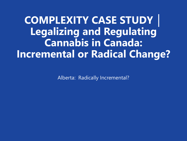**COMPLEXITY CASE STUDY │ Legalizing and Regulating Cannabis in Canada: Incremental or Radical Change?**

Alberta: Radically Incremental?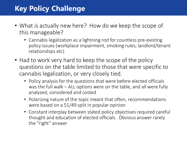# **Key Policy Challenge**

- What is actually new here? How do we keep the scope of this manageable?
	- Cannabis legalization as a lightning rod for countless pre-existing policy issues (workplace impairment, smoking rules, landlord/tenant relationships etc)
- Had to work very hard to keep the scope of the policy questions on the table limited to those that were specific to cannabis legalization, or very closely tied.
	- Policy analysis for the questions that were before elected officials was the full walk – ALL options were on the table, and all were fully analyzed, considered and costed
	- Polarizing nature of the topic meant that often, recommendations were based on a 51/49 split in popular opinion
	- Constant interplay between stated policy objectives required careful thought and education of elected officials. Obvious answer rarely the "right" answer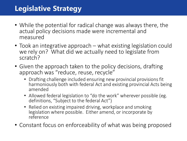## **Legislative Strategy**

- While the potential for radical change was always there, the actual policy decisions made were incremental and measured
- Took an integrative approach what existing legislation could we rely on? What did we actually need to legislate from scratch?
- Given the approach taken to the policy decisions, drafting approach was "reduce, reuse, recycle"
	- Drafting challenge included ensuring new provincial provisions fit harmoniously both with federal Act and existing provincial Acts being amended
	- Allowed federal legislation to "do the work" wherever possible (eg. definitions, "Subject to the federal Act")
	- Relied on existing impaired driving, workplace and smoking legislation where possible. Either amend, or incorporate by reference
- Constant focus on enforceability of what was being proposed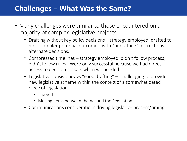### **Challenges – What Was the Same?**

- Many challenges were similar to those encountered on a majority of complex legislative projects
	- Drafting without key policy decisions strategy employed: drafted to most complex potential outcomes, with "undrafting" instructions for alternate decisions.
	- Compressed timelines strategy employed: didn't follow process, didn't follow rules. Were only successful because we had direct access to decision makers when we needed it.
	- Legislative consistency vs "good drafting" challenging to provide new legislative scheme within the context of a somewhat dated piece of legislation.
		- The verbs!
		- Moving items between the Act and the Regulation
	- Communications considerations driving legislative process/timing.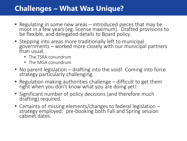## **Challenges – What Was Unique?**

- Regulating in some new areas introduced pieces that may be moot in a few years (eg. license maximum). Drafted provisions to be flexible, and delegated details to Board policy.
- Stepping into areas more traditionally left to municipal governments – worked more closely with our municipal partners than usual.
	- The TSRA conundrum
	- The MGA conundrum
- No parent legislation drafting into the void! Coming into force strategy particularly challenging.
- Regulation making authorities challenge difficult to get them right when you don't know what you are doing yet!
- Significant number of policy decisions (and therefore much drafting) required.
- Certainty of missing elements/changes to federal legislation strategy employed: pre-booking both Fall and Spring session cabinet dates.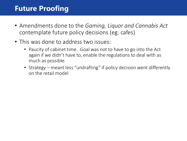#### **Future Proofing**

- Amendments done to the *Gaming, Liquor and Cannabis Act*  contemplate future policy decisions (eg. cafes)
- This was done to address two issues:
	- Paucity of cabinet time. Goal was not to have to go into the Act again if we didn't have to, enable the regulations to deal with as much as possible.
	- Strategy meant less "undrafting" if policy decision went differently on the retail model